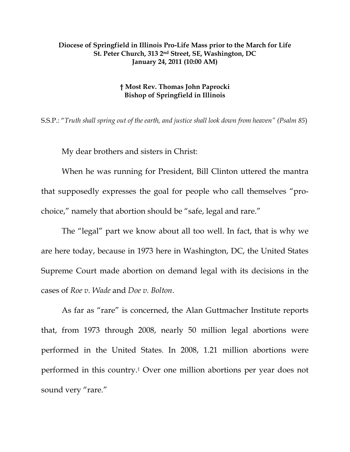## **Diocese of Springfield in Illinois Pro-Life Mass prior to the March for Life St. Peter Church, 313 2nd Street, SE, Washington, DC January 24, 2011 (10:00 AM)**

## **† Most Rev. Thomas John Paprocki Bishop of Springfield in Illinois**

S.S.P.: "*Truth shall spring out of the earth, and justice shall look down from heaven" (Psalm 85*)

My dear brothers and sisters in Christ:

When he was running for President, Bill Clinton uttered the mantra that supposedly expresses the goal for people who call themselves "prochoice," namely that abortion should be "safe, legal and rare."

The "legal" part we know about all too well. In fact, that is why we are here today, because in 1973 here in Washington, DC, the United States Supreme Court made abortion on demand legal with its decisions in the cases of *Roe v. Wade* and *Doe v. Bolton*.

As far as "rare" is concerned, the Alan Guttmacher Institute reports that, from 1973 through 2008, nearly 50 million legal abortions were performed in the United States. In 2008, 1.21 million abortions were performed in this country.1 Over one million abortions per year does not sound very "rare."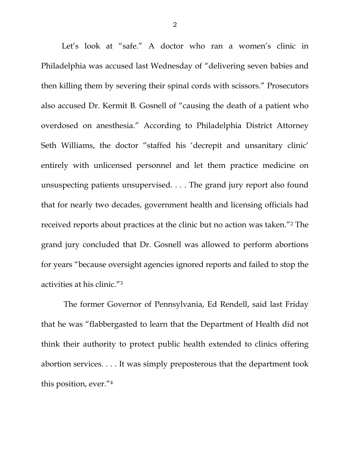Let's look at "safe." A doctor who ran a women's clinic in Philadelphia was accused last Wednesday of "delivering seven babies and then killing them by severing their spinal cords with scissors." Prosecutors also accused Dr. Kermit B. Gosnell of "causing the death of a patient who overdosed on anesthesia." According to Philadelphia District Attorney Seth Williams, the doctor "staffed his 'decrepit and unsanitary clinic' entirely with unlicensed personnel and let them practice medicine on unsuspecting patients unsupervised. . . . The grand jury report also found that for nearly two decades, government health and licensing officials had received reports about practices at the clinic but no action was taken."2 The grand jury concluded that Dr. Gosnell was allowed to perform abortions for years "because oversight agencies ignored reports and failed to stop the activities at his clinic."3

 The former Governor of Pennsylvania, Ed Rendell, said last Friday that he was "flabbergasted to learn that the Department of Health did not think their authority to protect public health extended to clinics offering abortion services. . . . It was simply preposterous that the department took this position, ever."4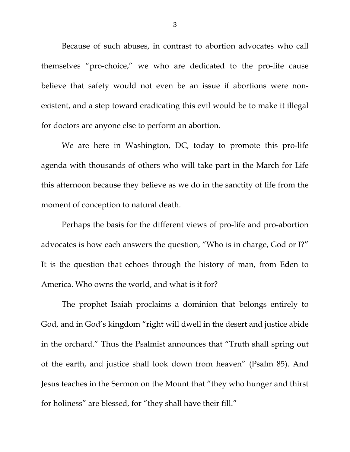Because of such abuses, in contrast to abortion advocates who call themselves "pro-choice," we who are dedicated to the pro-life cause believe that safety would not even be an issue if abortions were nonexistent, and a step toward eradicating this evil would be to make it illegal for doctors are anyone else to perform an abortion.

We are here in Washington, DC, today to promote this pro-life agenda with thousands of others who will take part in the March for Life this afternoon because they believe as we do in the sanctity of life from the moment of conception to natural death.

Perhaps the basis for the different views of pro-life and pro-abortion advocates is how each answers the question, "Who is in charge, God or I?" It is the question that echoes through the history of man, from Eden to America. Who owns the world, and what is it for?

The prophet Isaiah proclaims a dominion that belongs entirely to God, and in God's kingdom "right will dwell in the desert and justice abide in the orchard." Thus the Psalmist announces that "Truth shall spring out of the earth, and justice shall look down from heaven" (Psalm 85). And Jesus teaches in the Sermon on the Mount that "they who hunger and thirst for holiness" are blessed, for "they shall have their fill."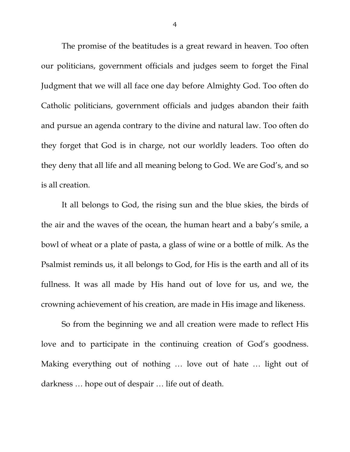The promise of the beatitudes is a great reward in heaven. Too often our politicians, government officials and judges seem to forget the Final Judgment that we will all face one day before Almighty God. Too often do Catholic politicians, government officials and judges abandon their faith and pursue an agenda contrary to the divine and natural law. Too often do they forget that God is in charge, not our worldly leaders. Too often do they deny that all life and all meaning belong to God. We are God's, and so is all creation.

It all belongs to God, the rising sun and the blue skies, the birds of the air and the waves of the ocean, the human heart and a baby's smile, a bowl of wheat or a plate of pasta, a glass of wine or a bottle of milk. As the Psalmist reminds us, it all belongs to God, for His is the earth and all of its fullness. It was all made by His hand out of love for us, and we, the crowning achievement of his creation, are made in His image and likeness.

So from the beginning we and all creation were made to reflect His love and to participate in the continuing creation of God's goodness. Making everything out of nothing … love out of hate … light out of darkness … hope out of despair … life out of death.

4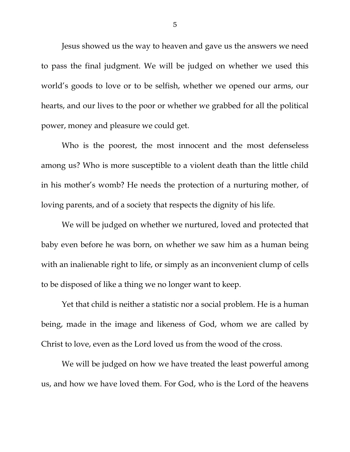Jesus showed us the way to heaven and gave us the answers we need to pass the final judgment. We will be judged on whether we used this world's goods to love or to be selfish, whether we opened our arms, our hearts, and our lives to the poor or whether we grabbed for all the political power, money and pleasure we could get.

Who is the poorest, the most innocent and the most defenseless among us? Who is more susceptible to a violent death than the little child in his mother's womb? He needs the protection of a nurturing mother, of loving parents, and of a society that respects the dignity of his life.

We will be judged on whether we nurtured, loved and protected that baby even before he was born, on whether we saw him as a human being with an inalienable right to life, or simply as an inconvenient clump of cells to be disposed of like a thing we no longer want to keep.

Yet that child is neither a statistic nor a social problem. He is a human being, made in the image and likeness of God, whom we are called by Christ to love, even as the Lord loved us from the wood of the cross.

We will be judged on how we have treated the least powerful among us, and how we have loved them. For God, who is the Lord of the heavens